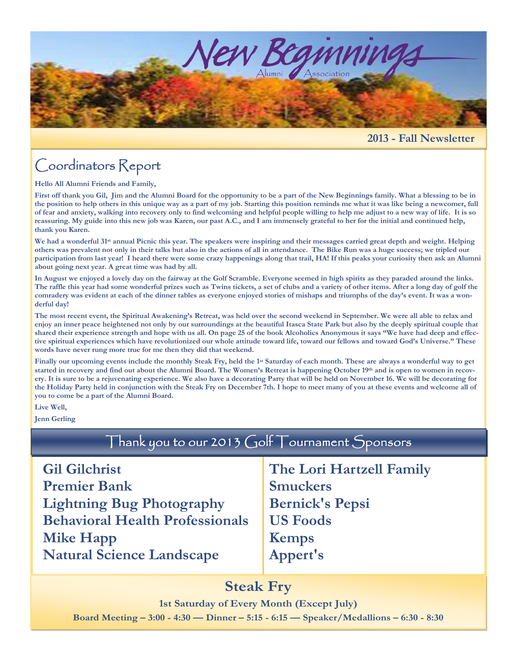

#### **2013 - Fall Newsletter**

# Coordinators Report

**Hello All Alumni Friends and Family,** 

**First off thank you Gil, Jim and the Alumni Board for the opportunity to be a part of the New Beginnings family. What a blessing to be in the position to help others in this unique way as a part of my job. Starting this position reminds me what it was like being a newcomer, full of fear and anxiety, walking into recovery only to find welcoming and helpful people willing to help me adjust to a new way of life. It is so reassuring. My guide into this new job was Karen, our past A.C., and I am immensely grateful to her for the initial and continued help, thank you Karen.** 

We had a wonderful 31<sup>st</sup> annual Picnic this year. The speakers were inspiring and their messages carried great depth and weight. Helping **others was prevalent not only in their talks but also in the actions of all in attendance. The Bike Run was a huge success; we tripled our participation from last year! I heard there were some crazy happenings along that trail, HA! If this peaks your curiosity then ask an Alumni about going next year. A great time was had by all.** 

**In August we enjoyed a lovely day on the fairway at the Golf Scramble. Everyone seemed in high spirits as they paraded around the links. The raffle this year had some wonderful prizes such as Twins tickets, a set of clubs and a variety of other items. After a long day of golf the comradery was evident at each of the dinner tables as everyone enjoyed stories of mishaps and triumphs of the day's event. It was a wonderful day!** 

**The most recent event, the Spiritual Awakening's Retreat, was held over the second weekend in September. We were all able to relax and enjoy an inner peace heightened not only by our surroundings at the beautiful Itasca State Park but also by the deeply spiritual couple that shared their experience strength and hope with us all. On page 25 of the book Alcoholics Anonymous it says "We have had deep and effective spiritual experiences which have revolutionized our whole attitude toward life, toward our fellows and toward God's Universe." These words have never rung more true for me then they did that weekend.** 

Finally our upcoming events include the monthly Steak Fry, held the 1<sup>st</sup> Saturday of each month. These are always a wonderful way to get started in recovery and find out about the Alumni Board. The Women's Retreat is happening October 19<sup>th</sup> and is open to women in recov**ery. It is sure to be a rejuvenating experience. We also have a decorating Party that will be held on November 16. We will be decorating for the Holiday Party held in conjunction with the Steak Fry on December 7th. I hope to meet many of you at these events and welcome all of you to come be a part of the Alumni Board.** 

**Live Well,** 

**Jenn Gerling** 

| Thank you to our 2013 Golf Tournament Sponsors                                                                                                |                                                                                                          |
|-----------------------------------------------------------------------------------------------------------------------------------------------|----------------------------------------------------------------------------------------------------------|
| <b>Gil Gilchrist</b><br><b>Premier Bank</b><br><b>Lightning Bug Photography</b><br><b>Behavioral Health Professionals</b><br><b>Mike Happ</b> | The Lori Hartzell Family<br><b>Smuckers</b><br><b>Bernick's Pepsi</b><br><b>US Foods</b><br><b>Kemps</b> |
| <b>Natural Science Landscape</b>                                                                                                              | Appert's                                                                                                 |

## **Steak Fry**

**1st Saturday of Every Month (Except July)** 

**Board Meeting – 3:00 - 4:30 — Dinner – 5:15 - 6:15 — Speaker/Medallions – 6:30 - 8:30**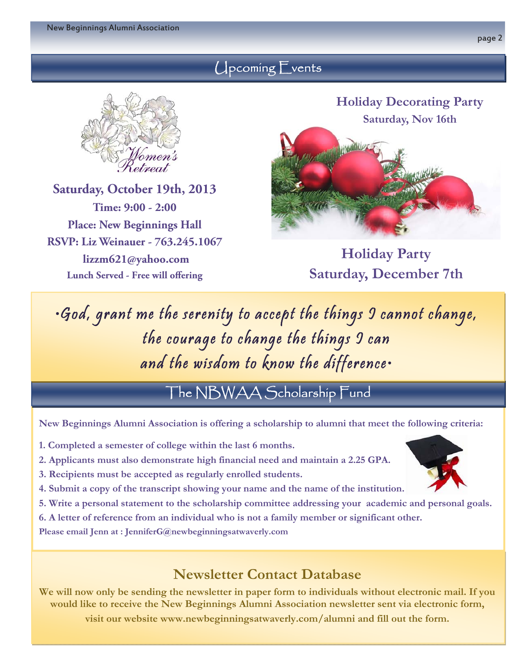## Upcoming Events



**Saturday, October 19th, 2013 Time: 9:00 - 2:00 Place: New Beginnings Hall RSVP: Liz Weinauer - 763.245.1067 lizzm621@yahoo.com Lunch Served - Free will offering** 



**Holiday Party Saturday, December 7th** 

•God, grant me the serenity to accept the things I cannot change, the courage to change the things I can and the wisdom to know the difference•

The NBWAA Scholarship Fund

**New Beginnings Alumni Association is offering a scholarship to alumni that meet the following criteria:**

- **1. Completed a semester of college within the last 6 months.**
- **2. Applicants must also demonstrate high financial need and maintain a 2.25 GPA.**
- **3. Recipients must be accepted as regularly enrolled students.**
- **4. Submit a copy of the transcript showing your name and the name of the institution.**
- **5. Write a personal statement to the scholarship committee addressing your academic and personal goals.**
- **6. A letter of reference from an individual who is not a family member or significant other.**

**Please email Jenn at : JenniferG@newbeginningsatwaverly.com** 

## **Newsletter Contact Database**

**We will now only be sending the newsletter in paper form to individuals without electronic mail. If you would like to receive the New Beginnings Alumni Association newsletter sent via electronic form,** 

**visit our website www.newbeginningsatwaverly.com/alumni and fill out the form.**

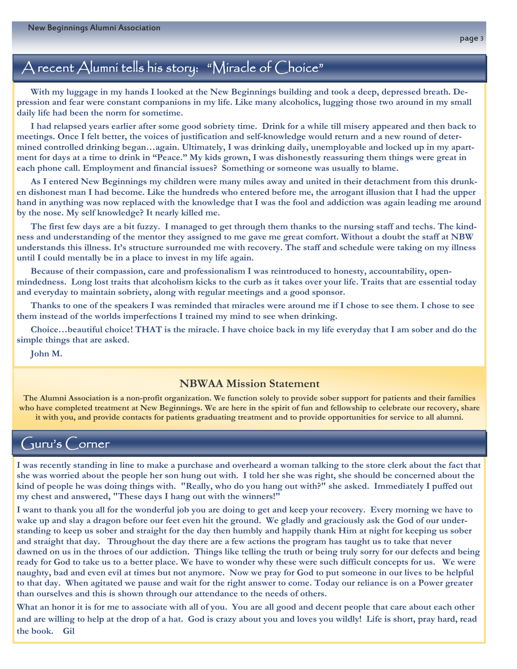## A recent Alumni tells his story: "Miracle of Choice"

 **With my luggage in my hands I looked at the New Beginnings building and took a deep, depressed breath. Depression and fear were constant companions in my life. Like many alcoholics, lugging those two around in my small daily life had been the norm for sometime.** 

 **I had relapsed years earlier after some good sobriety time. Drink for a while till misery appeared and then back to meetings. Once I felt better, the voices of justification and self-knowledge would return and a new round of determined controlled drinking began…again. Ultimately, I was drinking daily, unemployable and locked up in my apartment for days at a time to drink in "Peace." My kids grown, I was dishonestly reassuring them things were great in each phone call. Employment and financial issues? Something or someone was usually to blame.** 

 **As I entered New Beginnings my children were many miles away and united in their detachment from this drunken dishonest man I had become. Like the hundreds who entered before me, the arrogant illusion that I had the upper hand in anything was now replaced with the knowledge that I was the fool and addiction was again leading me around by the nose. My self knowledge? It nearly killed me.** 

 **The first few days are a bit fuzzy. I managed to get through them thanks to the nursing staff and techs. The kindness and understanding of the mentor they assigned to me gave me great comfort. Without a doubt the staff at NBW understands this illness. It's structure surrounded me with recovery. The staff and schedule were taking on my illness until I could mentally be in a place to invest in my life again.** 

 **Because of their compassion, care and professionalism I was reintroduced to honesty, accountability, openmindedness. Long lost traits that alcoholism kicks to the curb as it takes over your life. Traits that are essential today and everyday to maintain sobriety, along with regular meetings and a good sponsor.** 

 **Thanks to one of the speakers I was reminded that miracles were around me if I chose to see them. I chose to see them instead of the worlds imperfections I trained my mind to see when drinking.** 

 **Choice…beautiful choice! THAT is the miracle. I have choice back in my life everyday that I am sober and do the simple things that are asked.** 

 **John M.** 

#### **NBWAA Mission Statement**

**The Alumni Association is a non-profit organization. We function solely to provide sober support for patients and their families who have completed treatment at New Beginnings. We are here in the spirit of fun and fellowship to celebrate our recovery, share it with you, and provide contacts for patients graduating treatment and to provide opportunities for service to all alumni.** 

### Guru's Corner

**I was recently standing in line to make a purchase and overheard a woman talking to the store clerk about the fact that she was worried about the people her son hung out with. I told her she was right, she should be concerned about the kind of people he was doing things with. "Really, who do you hang out with?" she asked. Immediately I puffed out my chest and answered, "These days I hang out with the winners!"** 

**I want to thank you all for the wonderful job you are doing to get and keep your recovery. Every morning we have to wake up and slay a dragon before our feet even hit the ground. We gladly and graciously ask the God of our understanding to keep us sober and straight for the day then humbly and happily thank Him at night for keeping us sober and straight that day. Throughout the day there are a few actions the program has taught us to take that never dawned on us in the throes of our addiction. Things like telling the truth or being truly sorry for our defects and being ready for God to take us to a better place. We have to wonder why these were such difficult concepts for us. We were naughty, bad and even evil at times but not anymore. Now we pray for God to put someone in our lives to be helpful to that day. When agitated we pause and wait for the right answer to come. Today our reliance is on a Power greater than ourselves and this is shown through our attendance to the needs of others.** 

**What an honor it is for me to associate with all of you. You are all good and decent people that care about each other and are willing to help at the drop of a hat. God is crazy about you and loves you wildly! Life is short, pray hard, read the book. Gil**